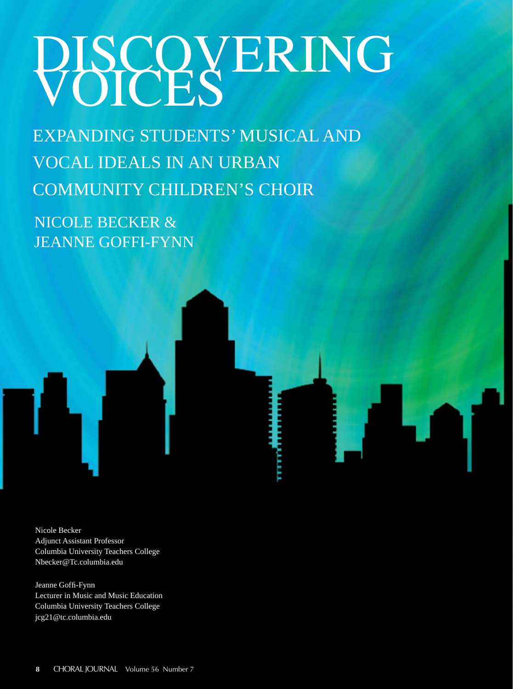# PBCQVERING

EXPANDING STUDENTS' MUSICAL AND VOCAL IDEALS IN AN URBAN COMMUNITY CHILDREN'S CHOIR

NICOLE BECKER & JEANNE GOFFI-FYNN



Nicole Becker Adjunct Assistant Professor Columbia University Teachers College Nbecker@Tc.columbia.edu

Jeanne Goffi -Fynn Lecturer in Music and Music Education Columbia University Teachers College jcg21@tc.columbia.edu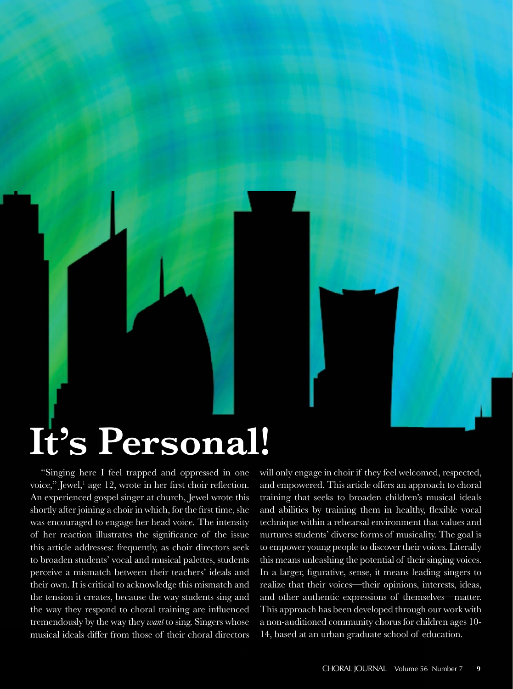## **It's Personal!**

"Singing here I feel trapped and oppressed in one voice," Jewel,<sup>1</sup> age 12, wrote in her first choir reflection. An experienced gospel singer at church, Jewel wrote this shortly after joining a choir in which, for the first time, she was encouraged to engage her head voice. The intensity of her reaction illustrates the significance of the issue this article addresses: frequently, as choir directors seek to broaden students' vocal and musical palettes, students perceive a mismatch between their teachers' ideals and their own. It is critical to acknowledge this mismatch and the tension it creates, because the way students sing and the way they respond to choral training are influenced tremendously by the way they *want* to sing. Singers whose musical ideals differ from those of their choral directors

will only engage in choir if they feel welcomed, respected, and empowered. This article offers an approach to choral training that seeks to broaden children's musical ideals and abilities by training them in healthy, flexible vocal technique within a rehearsal environment that values and nurtures students' diverse forms of musicality. The goal is to empower young people to discover their voices. Literally this means unleashing the potential of their singing voices. In a larger, figurative, sense, it means leading singers to realize that their voices—their opinions, interests, ideas, and other authentic expressions of themselves—matter. This approach has been developed through our work with a non-auditioned community chorus for children ages 10- 14, based at an urban graduate school of education.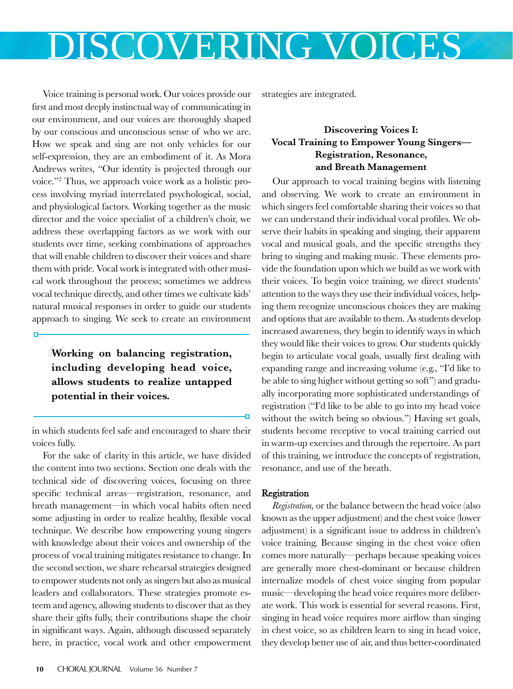Voice training is personal work. Our voices provide our first and most deeply instinctual way of communicating in our environment, and our voices are thoroughly shaped by our conscious and unconscious sense of who we are. How we speak and sing are not only vehicles for our self-expression, they are an embodiment of it. As Mora Andrews writes, "Our identity is projected through our voice."2 Thus, we approach voice work as a holistic process involving myriad interrelated psychological, social, and physiological factors. Working together as the music director and the voice specialist of a children's choir, we address these overlapping factors as we work with our students over time, seeking combinations of approaches that will enable children to discover their voices and share them with pride. Vocal work is integrated with other musical work throughout the process; sometimes we address vocal technique directly, and other times we cultivate kids' natural musical responses in order to guide our students approach to singing. We seek to create an environment

Wol<br>incl **Working on balancing registration, including developing head voice, allows students to realize untapped potential in their voices.** 

n

in which students feel safe and encouraged to share their voices fully.

For the sake of clarity in this article, we have divided the content into two sections. Section one deals with the technical side of discovering voices, focusing on three specific technical areas—registration, resonance, and breath management—in which vocal habits often need some adjusting in order to realize healthy, flexible vocal technique. We describe how empowering young singers with knowledge about their voices and ownership of the process of vocal training mitigates resistance to change. In the second section, we share rehearsal strategies designed to empower students not only as singers but also as musical leaders and collaborators. These strategies promote esteem and agency, allowing students to discover that as they share their gifts fully, their contributions shape the choir in significant ways. Again, although discussed separately here, in practice, vocal work and other empowerment strategies are integrated.

### **Discovering Voices I: Vocal Training to Empower Young Singers— Registration, Resonance, and Breath Management**

Our approach to vocal training begins with listening and observing. We work to create an environment in which singers feel comfortable sharing their voices so that we can understand their individual vocal profiles. We observe their habits in speaking and singing, their apparent vocal and musical goals, and the specific strengths they bring to singing and making music. These elements provide the foundation upon which we build as we work with their voices. To begin voice training, we direct students' attention to the ways they use their individual voices, helping them recognize unconscious choices they are making and options that are available to them. As students develop increased awareness, they begin to identify ways in which they would like their voices to grow. Our students quickly begin to articulate vocal goals, usually first dealing with expanding range and increasing volume (e.g., "I'd like to be able to sing higher without getting so soft") and gradually incorporating more sophisticated understandings of registration ("I'd like to be able to go into my head voice without the switch being so obvious.") Having set goals, students become receptive to vocal training carried out in warm-up exercises and through the repertoire. As part of this training, we introduce the concepts of registration, resonance, and use of the breath.

### Registration

*Registration,* or the balance between the head voice (also known as the upper adjustment) and the chest voice (lower adjustment) is a significant issue to address in children's voice training. Because singing in the chest voice often comes more naturally—perhaps because speaking voices are generally more chest-dominant or because children internalize models of chest voice singing from popular music—developing the head voice requires more deliberate work. This work is essential for several reasons. First, singing in head voice requires more airflow than singing in chest voice, so as children learn to sing in head voice, they develop better use of air, and thus better-coordinated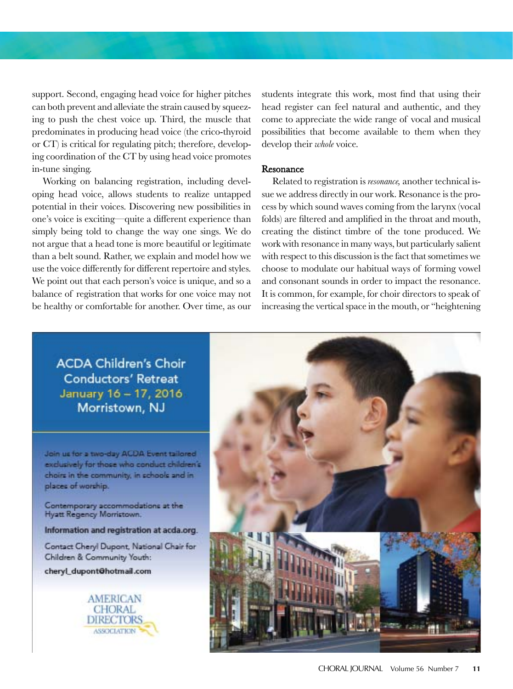support. Second, engaging head voice for higher pitches can both prevent and alleviate the strain caused by squeezing to push the chest voice up. Third, the muscle that predominates in producing head voice (the crico-thyroid or CT) is critical for regulating pitch; therefore, developing coordination of the CT by using head voice promotes in-tune singing.

Working on balancing registration, including developing head voice, allows students to realize untapped potential in their voices. Discovering new possibilities in one's voice is exciting—quite a different experience than simply being told to change the way one sings. We do not argue that a head tone is more beautiful or legitimate than a belt sound. Rather, we explain and model how we use the voice differently for different repertoire and styles. We point out that each person's voice is unique, and so a balance of registration that works for one voice may not be healthy or comfortable for another. Over time, as our

students integrate this work, most find that using their head register can feel natural and authentic, and they come to appreciate the wide range of vocal and musical possibilities that become available to them when they develop their *whole* voice.

#### Resonance

Related to registration is *resonance,* another technical issue we address directly in our work. Resonance is the process by which sound waves coming from the larynx (vocal folds) are filtered and amplified in the throat and mouth, creating the distinct timbre of the tone produced. We work with resonance in many ways, but particularly salient with respect to this discussion is the fact that sometimes we choose to modulate our habitual ways of forming vowel and consonant sounds in order to impact the resonance. It is common, for example, for choir directors to speak of increasing the vertical space in the mouth, or "heightening

**ACDA Children's Choir Conductors' Retreat** January 16 - 17, 2016 Morristown, NJ

Join us for a two-day ACDA Event tailored exclusively for those who conduct children's choirs in the community, in schools and in places of worship.

Contemporary accommodations at the Hyatt Regency Morristown.

Information and registration at acda.org.

Contact Cheryl Dupont, National Chair for Children & Community Youth:

cheryl\_dupont@hotmail.com



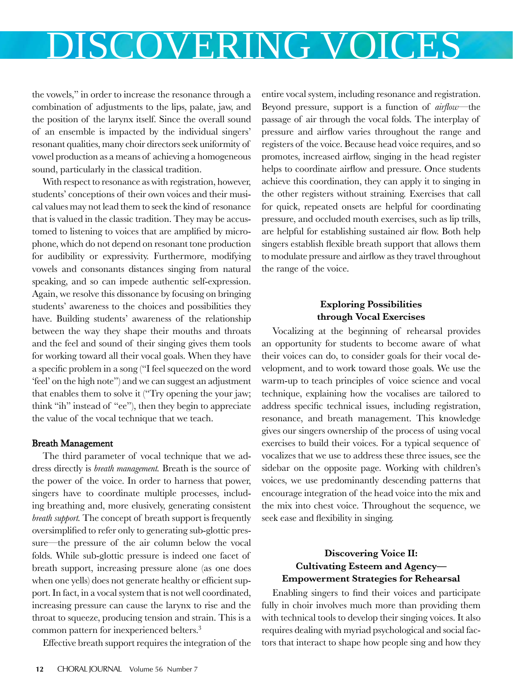the vowels," in order to increase the resonance through a combination of adjustments to the lips, palate, jaw, and the position of the larynx itself. Since the overall sound of an ensemble is impacted by the individual singers' resonant qualities, many choir directors seek uniformity of vowel production as a means of achieving a homogeneous sound, particularly in the classical tradition.

With respect to resonance as with registration, however, students' conceptions of their own voices and their musical values may not lead them to seek the kind of resonance that is valued in the classic tradition. They may be accustomed to listening to voices that are amplified by microphone, which do not depend on resonant tone production for audibility or expressivity. Furthermore, modifying vowels and consonants distances singing from natural speaking, and so can impede authentic self-expression. Again, we resolve this dissonance by focusing on bringing students' awareness to the choices and possibilities they have. Building students' awareness of the relationship between the way they shape their mouths and throats and the feel and sound of their singing gives them tools for working toward all their vocal goals. When they have a specific problem in a song ("I feel squeezed on the word 'feel' on the high note") and we can suggest an adjustment that enables them to solve it ("Try opening the your jaw; think "ih" instead of "ee"), then they begin to appreciate the value of the vocal technique that we teach.

### Breath Management

The third parameter of vocal technique that we address directly is *breath management.* Breath is the source of the power of the voice. In order to harness that power, singers have to coordinate multiple processes, including breathing and, more elusively, generating consistent *breath support.* The concept of breath support is frequently oversimplified to refer only to generating sub-glottic pressure—the pressure of the air column below the vocal folds. While sub-glottic pressure is indeed one facet of breath support, increasing pressure alone (as one does when one yells) does not generate healthy or efficient support. In fact, in a vocal system that is not well coordinated, increasing pressure can cause the larynx to rise and the throat to squeeze, producing tension and strain. This is a common pattern for inexperienced belters.<sup>3</sup>

Effective breath support requires the integration of the

entire vocal system, including resonance and registration. Beyond pressure, support is a function of *airflow*—the passage of air through the vocal folds. The interplay of pressure and airflow varies throughout the range and registers of the voice. Because head voice requires, and so promotes, increased airflow, singing in the head register helps to coordinate airflow and pressure. Once students achieve this coordination, they can apply it to singing in the other registers without straining. Exercises that call for quick, repeated onsets are helpful for coordinating pressure, and occluded mouth exercises, such as lip trills, are helpful for establishing sustained air flow. Both help singers establish flexible breath support that allows them to modulate pressure and airflow as they travel throughout the range of the voice.

### **Exploring Possibilities through Vocal Exercises**

Vocalizing at the beginning of rehearsal provides an opportunity for students to become aware of what their voices can do, to consider goals for their vocal development, and to work toward those goals. We use the warm-up to teach principles of voice science and vocal technique, explaining how the vocalises are tailored to address specific technical issues, including registration, resonance, and breath management. This knowledge gives our singers ownership of the process of using vocal exercises to build their voices. For a typical sequence of vocalizes that we use to address these three issues, see the sidebar on the opposite page. Working with children's voices, we use predominantly descending patterns that encourage integration of the head voice into the mix and the mix into chest voice. Throughout the sequence, we seek ease and flexibility in singing.

### **Discovering Voice II: Cultivating Esteem and Agency— Empowerment Strategies for Rehearsal**

Enabling singers to find their voices and participate fully in choir involves much more than providing them with technical tools to develop their singing voices. It also requires dealing with myriad psychological and social factors that interact to shape how people sing and how they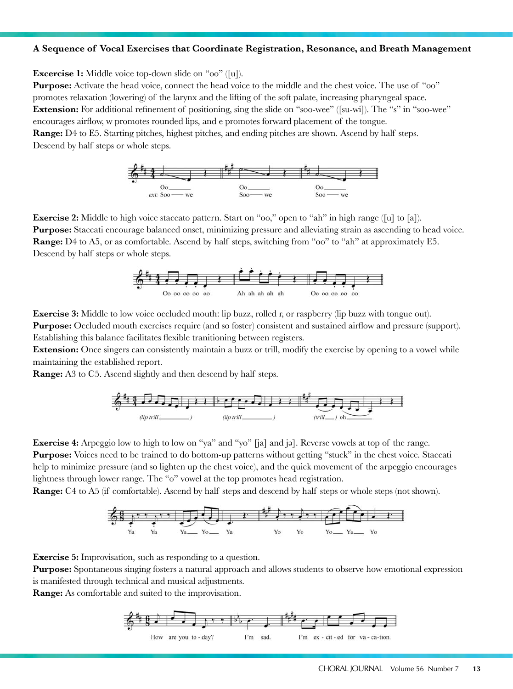#### **A Sequence of Vocal Exercises that Coordinate Registration, Resonance, and Breath Management**

**Excercise 1:** Middle voice top-down slide on "oo" ([u]).

**Purpose:** Activate the head voice, connect the head voice to the middle and the chest voice. The use of "oo" promotes relaxation (lowering) of the larynx and the lifting of the soft palate, increasing pharyngeal space. **Extension:** For additional refinement of positioning, sing the slide on "soo-wee" ([su-wi]). The "s" in "soo-wee" encourages airflow, w promotes rounded lips, and e promotes forward placement of the tongue. **Range:** D4 to E5. Starting pitches, highest pitches, and ending pitches are shown. Ascend by half steps. Descend by half steps or whole steps.



**Exercise 2:** Middle to high voice staccato pattern. Start on "oo," open to "ah" in high range ([u] to [a]). **Purpose:** Staccati encourage balanced onset, minimizing pressure and alleviating strain as ascending to head voice. **Range:** D4 to A5, or as comfortable. Ascend by half steps, switching from "oo" to "ah" at approximately E5. Descend by half steps or whole steps.



**Exercise 3:** Middle to low voice occluded mouth: lip buzz, rolled r, or raspberry (lip buzz with tongue out). **Purpose:** Occluded mouth exercises require (and so foster) consistent and sustained airflow and pressure (support). Establishing this balance facilitates flexible tranitioning between registers.

**Extension:** Once singers can consistently maintain a buzz or trill, modify the exercise by opening to a vowel while maintaining the established report.

**Range:** A3 to C5. Ascend slightly and then descend by half steps.



**Exercise 4:** Arpeggio low to high to low on "ya" and "yo" [ja] and jǝ]. Reverse vowels at top of the range. **Purpose:** Voices need to be trained to do bottom-up patterns without getting "stuck" in the chest voice. Staccati help to minimize pressure (and so lighten up the chest voice), and the quick movement of the arpeggio encourages lightness through lower range. The "o" vowel at the top promotes head registration.

**Range:** C4 to A5 (if comfortable). Ascend by half steps and descend by half steps or whole steps (not shown).



**Exercise 5:** Improvisation, such as responding to a question.

**Purpose:** Spontaneous singing fosters a natural approach and allows students to observe how emotional expression is manifested through technical and musical adjustments.

**Range:** As comfortable and suited to the improvisation.

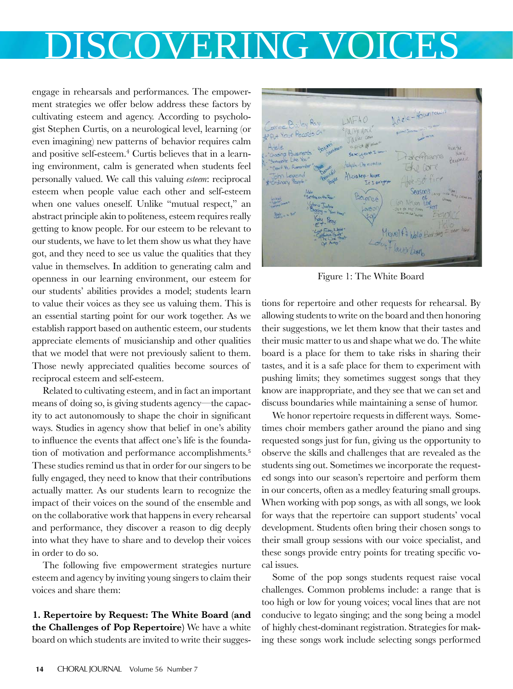engage in rehearsals and performances. The empowerment strategies we offer below address these factors by cultivating esteem and agency. According to psychologist Stephen Curtis, on a neurological level, learning (or even imagining) new patterns of behavior requires calm and positive self-esteem.<sup>4</sup> Curtis believes that in a learning environment, calm is generated when students feel personally valued. We call this valuing *esteem*: reciprocal esteem when people value each other and self-esteem when one values oneself. Unlike "mutual respect," an abstract principle akin to politeness, esteem requires really getting to know people. For our esteem to be relevant to our students, we have to let them show us what they have got, and they need to see us value the qualities that they value in themselves. In addition to generating calm and openness in our learning environment, our esteem for our students' abilities provides a model; students learn to value their voices as they see us valuing them. This is an essential starting point for our work together. As we establish rapport based on authentic esteem, our students appreciate elements of musicianship and other qualities that we model that were not previously salient to them. Those newly appreciated qualities become sources of reciprocal esteem and self-esteem.

Related to cultivating esteem, and in fact an important means of doing so, is giving students agency—the capacity to act autonomously to shape the choir in significant ways. Studies in agency show that belief in one's ability to influence the events that affect one's life is the foundation of motivation and performance accomplishments.<sup>5</sup> These studies remind us that in order for our singers to be fully engaged, they need to know that their contributions actually matter. As our students learn to recognize the impact of their voices on the sound of the ensemble and on the collaborative work that happens in every rehearsal and performance, they discover a reason to dig deeply into what they have to share and to develop their voices in order to do so.

The following five empowerment strategies nurture esteem and agency by inviting young singers to claim their voices and share them:

**1. Repertoire by Request: The White Board (and the Challenges of Pop Repertoire)** We have a white board on which students are invited to write their sugges-



Figure 1: The White Board

tions for repertoire and other requests for rehearsal. By allowing students to write on the board and then honoring their suggestions, we let them know that their tastes and their music matter to us and shape what we do. The white board is a place for them to take risks in sharing their tastes, and it is a safe place for them to experiment with pushing limits; they sometimes suggest songs that they know are inappropriate, and they see that we can set and discuss boundaries while maintaining a sense of humor.

We honor repertoire requests in different ways. Sometimes choir members gather around the piano and sing requested songs just for fun, giving us the opportunity to observe the skills and challenges that are revealed as the students sing out. Sometimes we incorporate the requested songs into our season's repertoire and perform them in our concerts, often as a medley featuring small groups. When working with pop songs, as with all songs, we look for ways that the repertoire can support students' vocal development. Students often bring their chosen songs to their small group sessions with our voice specialist, and these songs provide entry points for treating specific vocal issues.

Some of the pop songs students request raise vocal challenges. Common problems include: a range that is too high or low for young voices; vocal lines that are not conducive to legato singing; and the song being a model of highly chest-dominant registration. Strategies for making these songs work include selecting songs performed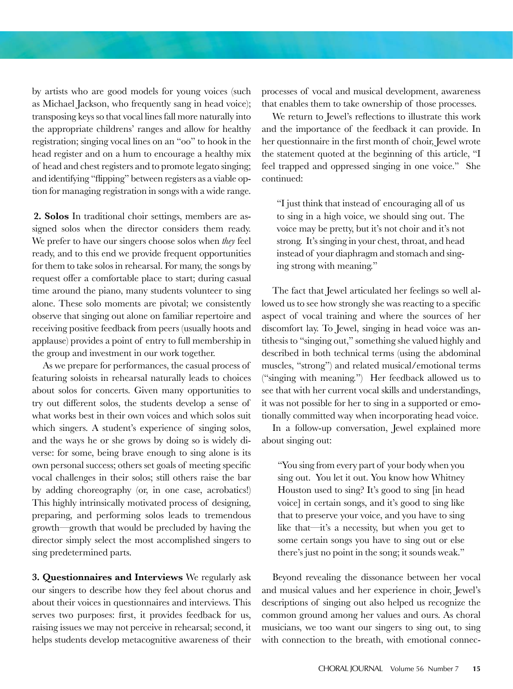by artists who are good models for young voices (such as Michael Jackson, who frequently sang in head voice); transposing keys so that vocal lines fall more naturally into the appropriate childrens' ranges and allow for healthy registration; singing vocal lines on an "oo" to hook in the head register and on a hum to encourage a healthy mix of head and chest registers and to promote legato singing; and identifying "flipping" between registers as a viable option for managing registration in songs with a wide range.

**2. Solos** In traditional choir settings, members are assigned solos when the director considers them ready. We prefer to have our singers choose solos when *they* feel ready, and to this end we provide frequent opportunities for them to take solos in rehearsal. For many, the songs by request offer a comfortable place to start; during casual time around the piano, many students volunteer to sing alone. These solo moments are pivotal; we consistently observe that singing out alone on familiar repertoire and receiving positive feedback from peers (usually hoots and applause) provides a point of entry to full membership in the group and investment in our work together.

As we prepare for performances, the casual process of featuring soloists in rehearsal naturally leads to choices about solos for concerts. Given many opportunities to try out different solos, the students develop a sense of what works best in their own voices and which solos suit which singers. A student's experience of singing solos, and the ways he or she grows by doing so is widely diverse: for some, being brave enough to sing alone is its own personal success; others set goals of meeting specific vocal challenges in their solos; still others raise the bar by adding choreography (or, in one case, acrobatics!) This highly intrinsically motivated process of designing, preparing, and performing solos leads to tremendous growth—growth that would be precluded by having the director simply select the most accomplished singers to sing predetermined parts.

**3. Questionnaires and Interviews** We regularly ask our singers to describe how they feel about chorus and about their voices in questionnaires and interviews. This serves two purposes: first, it provides feedback for us, raising issues we may not perceive in rehearsal; second, it helps students develop metacognitive awareness of their

processes of vocal and musical development, awareness that enables them to take ownership of those processes.

We return to Jewel's reflections to illustrate this work and the importance of the feedback it can provide. In her questionnaire in the first month of choir, Jewel wrote the statement quoted at the beginning of this article, "I feel trapped and oppressed singing in one voice." She continued:

"I just think that instead of encouraging all of us to sing in a high voice, we should sing out. The voice may be pretty, but it's not choir and it's not strong. It's singing in your chest, throat, and head instead of your diaphragm and stomach and singing strong with meaning."

The fact that Jewel articulated her feelings so well allowed us to see how strongly she was reacting to a specific aspect of vocal training and where the sources of her discomfort lay. To Jewel, singing in head voice was antithesis to "singing out," something she valued highly and described in both technical terms (using the abdominal muscles, "strong") and related musical/emotional terms ("singing with meaning.") Her feedback allowed us to see that with her current vocal skills and understandings, it was not possible for her to sing in a supported or emotionally committed way when incorporating head voice.

In a follow-up conversation, Jewel explained more about singing out:

"You sing from every part of your body when you sing out. You let it out. You know how Whitney Houston used to sing? It's good to sing [in head voice] in certain songs, and it's good to sing like that to preserve your voice, and you have to sing like that—it's a necessity, but when you get to some certain songs you have to sing out or else there's just no point in the song; it sounds weak."

Beyond revealing the dissonance between her vocal and musical values and her experience in choir, Jewel's descriptions of singing out also helped us recognize the common ground among her values and ours. As choral musicians, we too want our singers to sing out, to sing with connection to the breath, with emotional connec-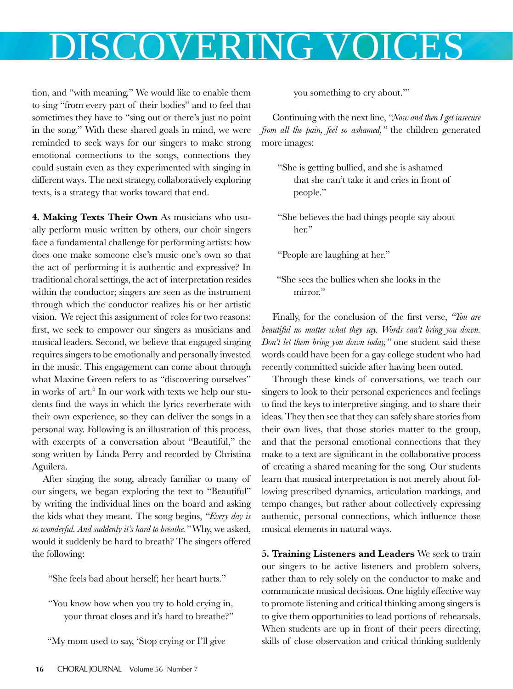tion, and "with meaning." We would like to enable them to sing "from every part of their bodies" and to feel that sometimes they have to "sing out or there's just no point in the song." With these shared goals in mind, we were reminded to seek ways for our singers to make strong emotional connections to the songs, connections they could sustain even as they experimented with singing in different ways. The next strategy, collaboratively exploring texts, is a strategy that works toward that end.

**4. Making Texts Their Own** As musicians who usually perform music written by others, our choir singers face a fundamental challenge for performing artists: how does one make someone else's music one's own so that the act of performing it is authentic and expressive? In traditional choral settings, the act of interpretation resides within the conductor; singers are seen as the instrument through which the conductor realizes his or her artistic vision. We reject this assignment of roles for two reasons: first, we seek to empower our singers as musicians and musical leaders. Second, we believe that engaged singing requires singers to be emotionally and personally invested in the music. This engagement can come about through what Maxine Green refers to as "discovering ourselves" in works of art.<sup>6</sup> In our work with texts we help our students find the ways in which the lyrics reverberate with their own experience, so they can deliver the songs in a personal way. Following is an illustration of this process, with excerpts of a conversation about "Beautiful," the song written by Linda Perry and recorded by Christina Aguilera.

After singing the song, already familiar to many of our singers, we began exploring the text to "Beautiful" by writing the individual lines on the board and asking the kids what they meant. The song begins, *"Every day is so wonderful. And suddenly it's hard to breathe."* Why, we asked, would it suddenly be hard to breath? The singers offered the following:

"She feels bad about herself; her heart hurts."

"You know how when you try to hold crying in, your throat closes and it's hard to breathe?"

"My mom used to say, 'Stop crying or I'll give

you something to cry about.'"

Continuing with the next line, *"Now and then I get insecure from all the pain, feel so ashamed,"* the children generated more images:

- "She is getting bullied, and she is ashamed that she can't take it and cries in front of people."
- "She believes the bad things people say about her."

"People are laughing at her."

"She sees the bullies when she looks in the mirror."

Finally, for the conclusion of the first verse, *"You are beautiful no matter what they say. Words can't bring you down. Don't let them bring you down today,"* one student said these words could have been for a gay college student who had recently committed suicide after having been outed.

Through these kinds of conversations, we teach our singers to look to their personal experiences and feelings to find the keys to interpretive singing, and to share their ideas. They then see that they can safely share stories from their own lives, that those stories matter to the group, and that the personal emotional connections that they make to a text are significant in the collaborative process of creating a shared meaning for the song. Our students learn that musical interpretation is not merely about following prescribed dynamics, articulation markings, and tempo changes, but rather about collectively expressing authentic, personal connections, which influence those musical elements in natural ways.

**5. Training Listeners and Leaders** We seek to train our singers to be active listeners and problem solvers, rather than to rely solely on the conductor to make and communicate musical decisions. One highly effective way to promote listening and critical thinking among singers is to give them opportunities to lead portions of rehearsals. When students are up in front of their peers directing, skills of close observation and critical thinking suddenly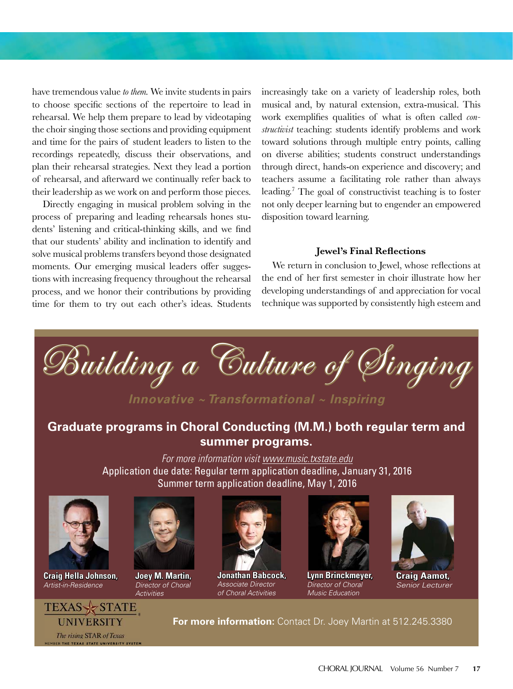have tremendous value *to them.* We invite students in pairs to choose specific sections of the repertoire to lead in rehearsal. We help them prepare to lead by videotaping the choir singing those sections and providing equipment and time for the pairs of student leaders to listen to the recordings repeatedly, discuss their observations, and plan their rehearsal strategies. Next they lead a portion of rehearsal, and afterward we continually refer back to their leadership as we work on and perform those pieces.

Directly engaging in musical problem solving in the process of preparing and leading rehearsals hones students' listening and critical-thinking skills, and we find that our students' ability and inclination to identify and solve musical problems transfers beyond those designated moments. Our emerging musical leaders offer suggestions with increasing frequency throughout the rehearsal process, and we honor their contributions by providing time for them to try out each other's ideas. Students increasingly take on a variety of leadership roles, both musical and, by natural extension, extra-musical. This work exemplifies qualities of what is often called *constructivist* teaching: students identify problems and work toward solutions through multiple entry points, calling on diverse abilities; students construct understandings through direct, hands-on experience and discovery; and teachers assume a facilitating role rather than always leading.7 The goal of constructivist teaching is to foster not only deeper learning but to engender an empowered disposition toward learning.

#### **Jewel's Final Reflections**

We return in conclusion to Jewel, whose reflections at the end of her first semester in choir illustrate how her developing understandings of and appreciation for vocal technique was supported by consistently high esteem and

Building a Culture of Singing

*Innovative ~ Transformational ~ Inspiring*

### **Graduate programs in Choral Conducting (M.M.) both regular term and summer programs.**

For more information visit www.music.txstate.edu Application due date: Regular term application deadline, January 31, 2016 Summer term application deadline, May 1, 2016



**Craig Hella Johnson,**  Artist-in-Residence



**Joey M. Martin,**  Director of Choral **Activities** 



**Jonathan Babcock,**  Associate Director of Choral Activities



**Lynn Brinckmeyer,** Director of Choral Music Education



**Craig Aamot,**  Senior Lecturer



**For more information:** Contact Dr. Joey Martin at 512.245.3380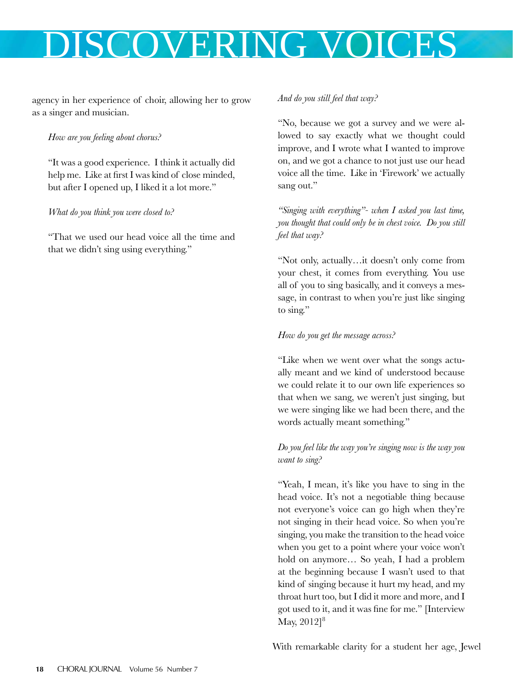agency in her experience of choir, allowing her to grow as a singer and musician.

### *How are you feeling about chorus?*

"It was a good experience. I think it actually did help me. Like at first I was kind of close minded, but after I opened up, I liked it a lot more."

*What do you think you were closed to?* 

"That we used our head voice all the time and that we didn't sing using everything."

### *And do you still feel that way?*

"No, because we got a survey and we were allowed to say exactly what we thought could improve, and I wrote what I wanted to improve on, and we got a chance to not just use our head voice all the time. Like in 'Firework' we actually sang out."

*"Singing with everything"- when I asked you last time, you thought that could only be in chest voice. Do you still feel that way?* 

"Not only, actually…it doesn't only come from your chest, it comes from everything. You use all of you to sing basically, and it conveys a message, in contrast to when you're just like singing to sing."

### *How do you get the message across?*

"Like when we went over what the songs actually meant and we kind of understood because we could relate it to our own life experiences so that when we sang, we weren't just singing, but we were singing like we had been there, and the words actually meant something."

*Do you feel like the way you're singing now is the way you want to sing?* 

"Yeah, I mean, it's like you have to sing in the head voice. It's not a negotiable thing because not everyone's voice can go high when they're not singing in their head voice. So when you're singing, you make the transition to the head voice when you get to a point where your voice won't hold on anymore… So yeah, I had a problem at the beginning because I wasn't used to that kind of singing because it hurt my head, and my throat hurt too, but I did it more and more, and I got used to it, and it was fine for me." [Interview May,  $2012$ <sup>8</sup>

With remarkable clarity for a student her age, Jewel